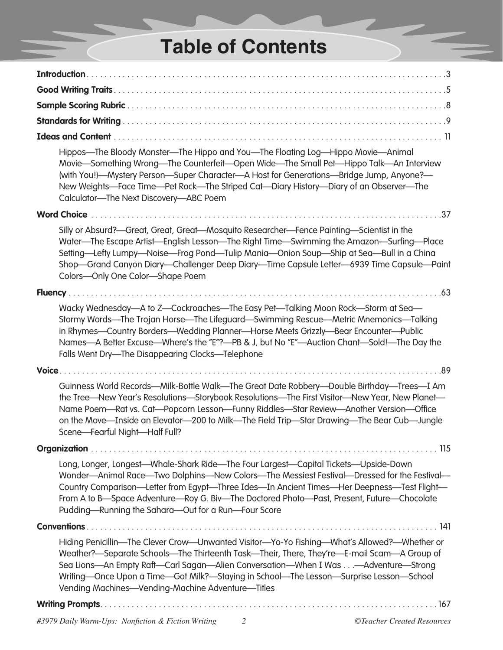## **Table of Contents**

| Hippos-The Bloody Monster-The Hippo and You-The Floating Log-Hippo Movie-Animal<br>Movie-Something Wrong-The Counterfeit-Open Wide-The Small Pet-Hippo Talk-An Interview<br>(with You!)—Mystery Person—Super Character—A Host for Generations—Bridge Jump, Anyone?—<br>New Weights-Face Time-Pet Rock-The Striped Cat-Diary History-Diary of an Observer-The<br>Calculator-The Next Discovery-ABC Poem                              |
|-------------------------------------------------------------------------------------------------------------------------------------------------------------------------------------------------------------------------------------------------------------------------------------------------------------------------------------------------------------------------------------------------------------------------------------|
| <b>Word Choice</b>                                                                                                                                                                                                                                                                                                                                                                                                                  |
| Silly or Absurd?—Great, Great, Great—Mosquito Researcher—Fence Painting—Scientist in the<br>Water-The Escape Artist-English Lesson-The Right Time-Swimming the Amazon-Surfing-Place<br>Setting—Lefty Lumpy—Noise—Frog Pond—Tulip Mania—Onion Soup—Ship at Sea—Bull in a China<br>Shop—Grand Canyon Diary—Challenger Deep Diary—Time Capsule Letter—6939 Time Capsule—Paint<br>Colors-Only One Color-Shape Poem                      |
|                                                                                                                                                                                                                                                                                                                                                                                                                                     |
| Wacky Wednesday—A to Z—Cockroaches—The Easy Pet—Talking Moon Rock—Storm at Sea—<br>Stormy Words—The Trojan Horse—The Lifeguard—Swimming Rescue—Metric Mnemonics—Talking<br>in Rhymes-Country Borders-Wedding Planner-Horse Meets Grizzly-Bear Encounter-Public<br>Names-A Better Excuse-Where's the "E"?-PB & J, but No "E"-Auction Chant-Sold!-The Day the<br>Falls Went Dry-The Disappearing Clocks-Telephone                     |
|                                                                                                                                                                                                                                                                                                                                                                                                                                     |
| Guinness World Records—Milk-Bottle Walk—The Great Date Robbery—Double Birthday—Trees—I Am<br>the Tree-New Year's Resolutions-Storybook Resolutions-The First Visitor-New Year, New Planet-<br>Name Poem-Rat vs. Cat-Popcorn Lesson-Funny Riddles-Star Review-Another Version-Office<br>on the Move—Inside an Elevator—200 to Milk—The Field Trip—Star Drawing—The Bear Cub—Jungle<br>Scene-Fearful Night-Half Full?                 |
|                                                                                                                                                                                                                                                                                                                                                                                                                                     |
| Long, Longer, Longest-Whale-Shark Ride-The Four Largest-Capital Tickets-Upside-Down<br>Wonder-Animal Race-Two Dolphins-New Colors-The Messiest Festival-Dressed for the Festival-<br>Country Comparison—Letter from Egypt—Three Ides—In Ancient Times—Her Deepness—Test Flight—<br>From A to B-Space Adventure-Roy G. Biv-The Doctored Photo-Past, Present, Future-Chocolate<br>Pudding-Running the Sahara-Out for a Run-Four Score |
| <b>Conventions.</b><br>$\ldots$ 141                                                                                                                                                                                                                                                                                                                                                                                                 |
| Hiding Penicillin-The Clever Crow-Unwanted Visitor-Yo-Yo Fishing-What's Allowed?-- Whether or<br>Weather?—Separate Schools—The Thirteenth Task—Their, There, They're—E-mail Scam—A Group of<br>Sea Lions—An Empty Raft—Carl Sagan—Alien Conversation—When I Was—Adventure—Strong<br>Writing-Once Upon a Time-Got Milk?-Staying in School-The Lesson-Surprise Lesson-School<br>Vending Machines-Vending-Machine Adventure-Titles     |
|                                                                                                                                                                                                                                                                                                                                                                                                                                     |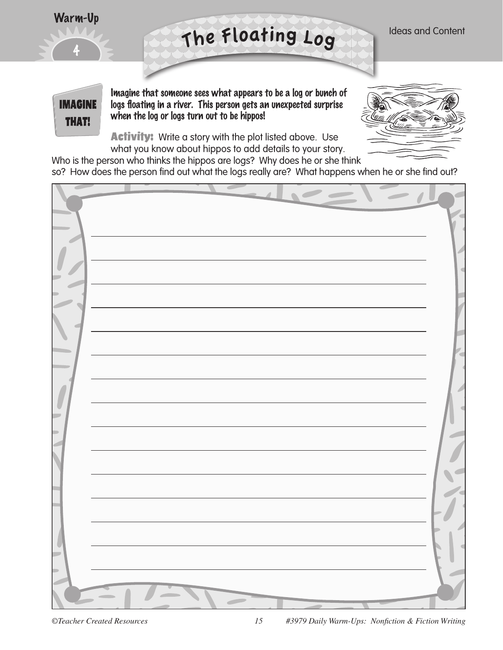

**IMAGINE** 

**THAT!** 

Imagine that someone sees what appears to be a log or bunch of logs floating in a river. This person gets an unexpected surprise when the log or logs turn out to be hippos!

**Activity:** Write a story with the plot listed above. Use what you know about hippos to add details to your story.



Ideas and Content

Who is the person who thinks the hippos are logs? Why does he or she think so? How does the person find out what the logs really are? What happens when he or she find out?

<sup>T</sup>h<sup>e</sup> <sup>F</sup>loatin<sup>g</sup> <sup>L</sup>o<sup>g</sup>

| $\Rightarrow$ |                          |  |
|---------------|--------------------------|--|
|               | $\overline{\phantom{a}}$ |  |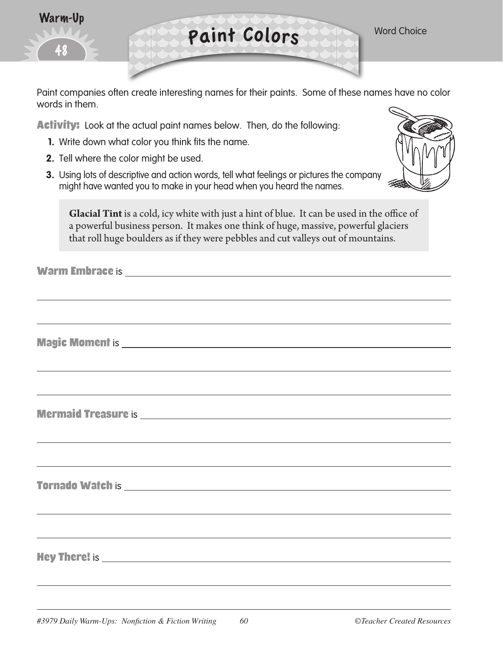| Warm-Up |  |
|---------|--|
| 459     |  |
|         |  |

Paint Colors Word Choice

Paint companies often create interesting names for their paints. Some of these names have no color words in them.

**Activity:** Look at the actual paint names below. Then, do the following:

- **1.** Write down what color you think fits the name.
- **2.** Tell where the color might be used.
- **3.** Using lots of descriptive and action words, tell what feelings or pictures the company might have wanted you to make in your head when you heard the names.



**Glacial Tint** is a cold, icy white with just a hint of blue. It can be used in the office of a powerful business person. It makes one think of huge, massive, powerful glaciers that roll huge boulders as if they were pebbles and cut valleys out of mountains.

Warm Embrace is

Magic Moment is

Mermaid Treasure is and the contract of the contract of the contract of the contract of the contract of the contract of the contract of the contract of the contract of the contract of the contract of the contract of the co

Tornado Watch is

Hey There! is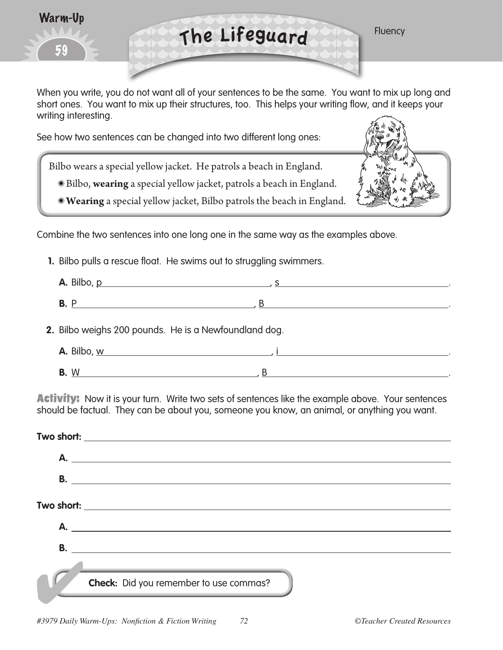



When you write, you do not want all of your sentences to be the same. You want to mix up long and short ones. You want to mix up their structures, too. This helps your writing flow, and it keeps your writing interesting.

See how two sentences can be changed into two different long ones:

Bilbo wears a special yellow jacket. He patrols a beach in England.

- Bilbo, **wearing** a special yellow jacket, patrols a beach in England.
- **Wearing** a special yellow jacket, Bilbo patrols the beach in England.



Combine the two sentences into one long one in the same way as the examples above.

**1.** Bilbo pulls a rescue float. He swims out to struggling swimmers.

| <b>A.</b> Bilbo, <u>p</u>                             |   |  |
|-------------------------------------------------------|---|--|
| <b>B.</b> P <u>____________________</u>               | R |  |
| 2. Bilbo weighs 200 pounds. He is a Newfoundland dog. |   |  |
| <b>A.</b> Bilbo, <u>w experience</u>                  |   |  |
|                                                       |   |  |

**B.** W.................. , B.

**Activity:** Now it is your turn. Write two sets of sentences like the example above. Your sentences should be factual. They can be about you, someone you know, an animal, or anything you want.

|           | A.                                     |
|-----------|----------------------------------------|
| <b>B.</b> |                                        |
|           |                                        |
|           | Check: Did you remember to use commas? |
|           |                                        |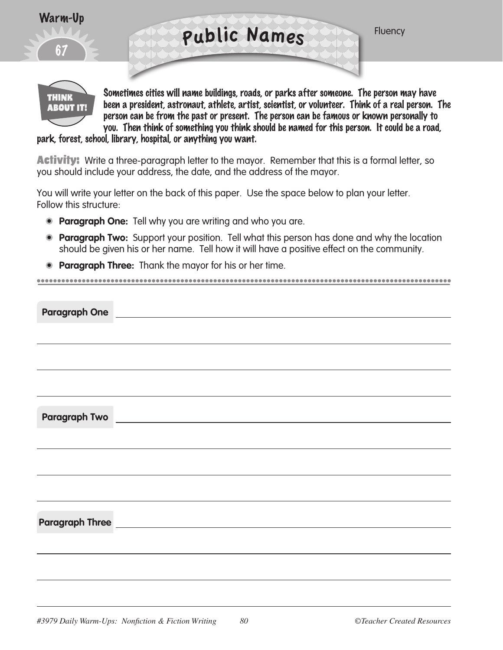

Sometimes cities will name buildings, roads, or parks after someone. The person may have been a president, astronaut, athlete, artist, scientist, or volunteer. Think of a real person. The person can be from the past or present. The person can be famous or known personally to you. Then think of something you think should be named for this person. It could be a road,

park, forest, school, library, hospital, or anything you want.

**THINK ABOUT IT!** 

**Activity:** Write a three-paragraph letter to the mayor. Remember that this is a formal letter, so you should include your address, the date, and the address of the mayor.

You will write your letter on the back of this paper. Use the space below to plan your letter. Follow this structure:

- **Paragraph One:** Tell why you are writing and who you are.
- **Paragraph Two:** Support your position. Tell what this person has done and why the location should be given his or her name. Tell how it will have a positive effect on the community.

• **Paragraph Three:** Thank the mayor for his or her time.

| <b>Paragraph Two</b> | <u> 1980 - Jan Samuel Barbara, martin a</u> |
|----------------------|---------------------------------------------|
|                      |                                             |
|                      |                                             |
|                      |                                             |
|                      |                                             |
|                      |                                             |
|                      |                                             |
|                      |                                             |